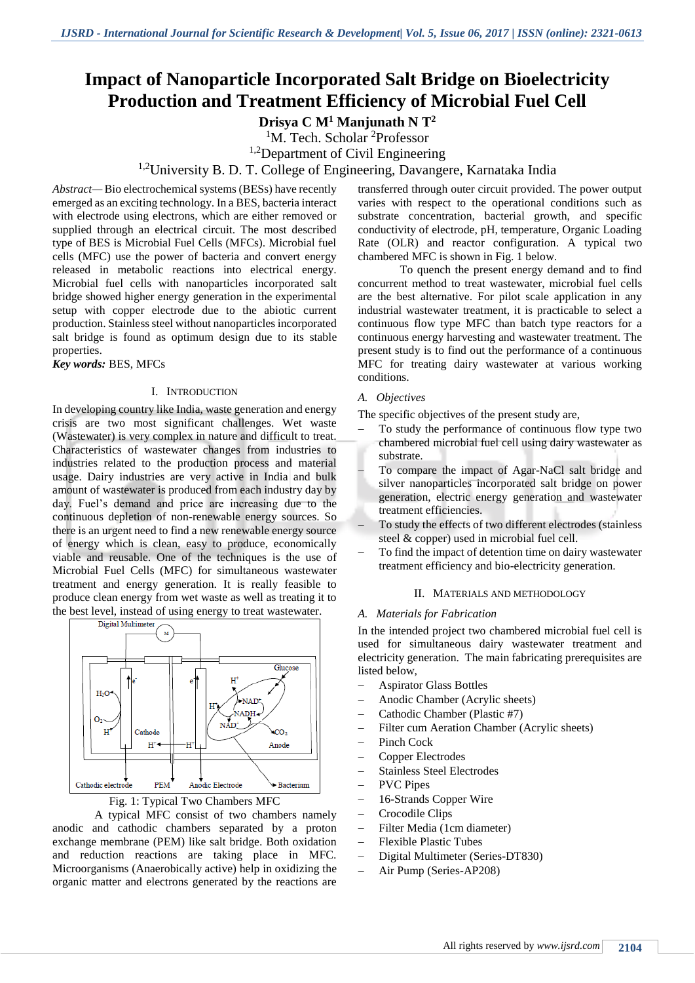# **Impact of Nanoparticle Incorporated Salt Bridge on Bioelectricity Production and Treatment Efficiency of Microbial Fuel Cell**

**Drisya C M<sup>1</sup> Manjunath N T<sup>2</sup>**

<sup>1</sup>M. Tech. Scholar <sup>2</sup>Professor

<sup>1,2</sup>Department of Civil Engineering

<sup>1,2</sup>University B. D. T. College of Engineering, Davangere, Karnataka India

*Abstract—* Bio electrochemical systems (BESs) have recently emerged as an exciting technology. In a BES, bacteria interact with electrode using electrons, which are either removed or supplied through an electrical circuit. The most described type of BES is Microbial Fuel Cells (MFCs). Microbial fuel cells (MFC) use the power of bacteria and convert energy released in metabolic reactions into electrical energy. Microbial fuel cells with nanoparticles incorporated salt bridge showed higher energy generation in the experimental setup with copper electrode due to the abiotic current production. Stainless steel without nanoparticles incorporated salt bridge is found as optimum design due to its stable properties.

#### *Key words:* BES, MFCs

#### I. INTRODUCTION

In developing country like India, waste generation and energy crisis are two most significant challenges. Wet waste (Wastewater) is very complex in nature and difficult to treat. Characteristics of wastewater changes from industries to industries related to the production process and material usage. Dairy industries are very active in India and bulk amount of wastewater is produced from each industry day by day. Fuel's demand and price are increasing due to the continuous depletion of non-renewable energy sources. So there is an urgent need to find a new renewable energy source of energy which is clean, easy to produce, economically viable and reusable. One of the techniques is the use of Microbial Fuel Cells (MFC) for simultaneous wastewater treatment and energy generation. It is really feasible to produce clean energy from wet waste as well as treating it to the best level, instead of using energy to treat wastewater.





A typical MFC consist of two chambers namely anodic and cathodic chambers separated by a proton exchange membrane (PEM) like salt bridge. Both oxidation and reduction reactions are taking place in MFC. Microorganisms (Anaerobically active) help in oxidizing the organic matter and electrons generated by the reactions are

transferred through outer circuit provided. The power output varies with respect to the operational conditions such as substrate concentration, bacterial growth, and specific conductivity of electrode, pH, temperature, Organic Loading Rate (OLR) and reactor configuration. A typical two chambered MFC is shown in Fig. 1 below.

To quench the present energy demand and to find concurrent method to treat wastewater, microbial fuel cells are the best alternative. For pilot scale application in any industrial wastewater treatment, it is practicable to select a continuous flow type MFC than batch type reactors for a continuous energy harvesting and wastewater treatment. The present study is to find out the performance of a continuous MFC for treating dairy wastewater at various working conditions.

#### *A. Objectives*

The specific objectives of the present study are,

- To study the performance of continuous flow type two chambered microbial fuel cell using dairy wastewater as substrate.
- To compare the impact of Agar-NaCl salt bridge and silver nanoparticles incorporated salt bridge on power generation, electric energy generation and wastewater treatment efficiencies.
- To study the effects of two different electrodes (stainless steel & copper) used in microbial fuel cell.
- To find the impact of detention time on dairy wastewater treatment efficiency and bio-electricity generation.

#### II. MATERIALS AND METHODOLOGY

#### *A. Materials for Fabrication*

In the intended project two chambered microbial fuel cell is used for simultaneous dairy wastewater treatment and electricity generation. The main fabricating prerequisites are listed below,

- Aspirator Glass Bottles
- Anodic Chamber (Acrylic sheets)
- Cathodic Chamber (Plastic #7)
- Filter cum Aeration Chamber (Acrylic sheets)
- Pinch Cock
- Copper Electrodes
- Stainless Steel Electrodes
- PVC Pipes
- 16-Strands Copper Wire
- Crocodile Clips
- Filter Media (1cm diameter)
- Flexible Plastic Tubes
- Digital Multimeter (Series-DT830)
- Air Pump (Series-AP208)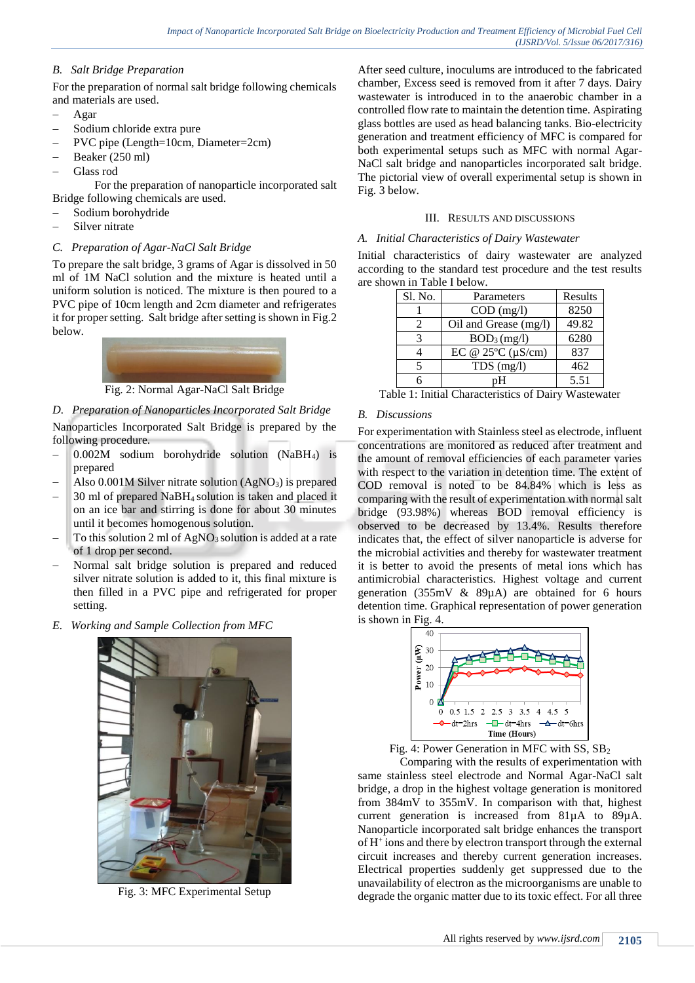## *B. Salt Bridge Preparation*

For the preparation of normal salt bridge following chemicals and materials are used.

- Agar
- Sodium chloride extra pure
- PVC pipe (Length=10cm, Diameter=2cm)
- Beaker (250 ml)
- Glass rod

For the preparation of nanoparticle incorporated salt Bridge following chemicals are used.

- Sodium borohydride
- Silver nitrate

## *C. Preparation of Agar-NaCl Salt Bridge*

To prepare the salt bridge, 3 grams of Agar is dissolved in 50 ml of 1M NaCl solution and the mixture is heated until a uniform solution is noticed. The mixture is then poured to a PVC pipe of 10cm length and 2cm diameter and refrigerates it for proper setting. Salt bridge after setting is shown in Fig.2 below.



Fig. 2: Normal Agar-NaCl Salt Bridge

# *D. Preparation of Nanoparticles Incorporated Salt Bridge*

Nanoparticles Incorporated Salt Bridge is prepared by the following procedure.

- $-$  0.002M sodium borohydride solution (NaBH<sub>4</sub>) is prepared
- Also  $0.001M$  Silver nitrate solution (AgNO<sub>3</sub>) is prepared
- 30 ml of prepared NaBH4 solution is taken and placed it on an ice bar and stirring is done for about 30 minutes until it becomes homogenous solution.
- To this solution 2 ml of AgNO<sub>3</sub> solution is added at a rate of 1 drop per second.
- Normal salt bridge solution is prepared and reduced silver nitrate solution is added to it, this final mixture is then filled in a PVC pipe and refrigerated for proper setting.
- *E. Working and Sample Collection from MFC*



Fig. 3: MFC Experimental Setup

After seed culture, inoculums are introduced to the fabricated chamber, Excess seed is removed from it after 7 days. Dairy wastewater is introduced in to the anaerobic chamber in a controlled flow rate to maintain the detention time. Aspirating glass bottles are used as head balancing tanks. Bio-electricity generation and treatment efficiency of MFC is compared for both experimental setups such as MFC with normal Agar-NaCl salt bridge and nanoparticles incorporated salt bridge. The pictorial view of overall experimental setup is shown in Fig. 3 below.

## III. RESULTS AND DISCUSSIONS

## *A. Initial Characteristics of Dairy Wastewater*

Initial characteristics of dairy wastewater are analyzed according to the standard test procedure and the test results are shown in Table I below.

| Sl. No. | Parameters                  | Results |
|---------|-----------------------------|---------|
|         | $COD$ (mg/l)                | 8250    |
|         | Oil and Grease (mg/l)       | 49.82   |
| 3       | BOD <sub>3</sub> (mg/l)     | 6280    |
|         | EC @ $25^{\circ}$ C (µS/cm) | 837     |
| 5       | $TDS$ (mg/l)                | 462     |
|         | pН                          | 5.51    |

Table 1: Initial Characteristics of Dairy Wastewater

## *B. Discussions*

For experimentation with Stainless steel as electrode, influent concentrations are monitored as reduced after treatment and the amount of removal efficiencies of each parameter varies with respect to the variation in detention time. The extent of COD removal is noted to be 84.84% which is less as comparing with the result of experimentation with normal salt bridge (93.98%) whereas BOD removal efficiency is observed to be decreased by 13.4%. Results therefore indicates that, the effect of silver nanoparticle is adverse for the microbial activities and thereby for wastewater treatment it is better to avoid the presents of metal ions which has antimicrobial characteristics. Highest voltage and current generation (355mV & 89µA) are obtained for 6 hours detention time. Graphical representation of power generation is shown in Fig. 4.



Fig. 4: Power Generation in MFC with SS, SB<sup>2</sup>

Comparing with the results of experimentation with same stainless steel electrode and Normal Agar-NaCl salt bridge, a drop in the highest voltage generation is monitored from 384mV to 355mV. In comparison with that, highest current generation is increased from 81µA to 89µA. Nanoparticle incorporated salt bridge enhances the transport of H<sup>+</sup> ions and there by electron transport through the external circuit increases and thereby current generation increases. Electrical properties suddenly get suppressed due to the unavailability of electron as the microorganisms are unable to degrade the organic matter due to its toxic effect. For all three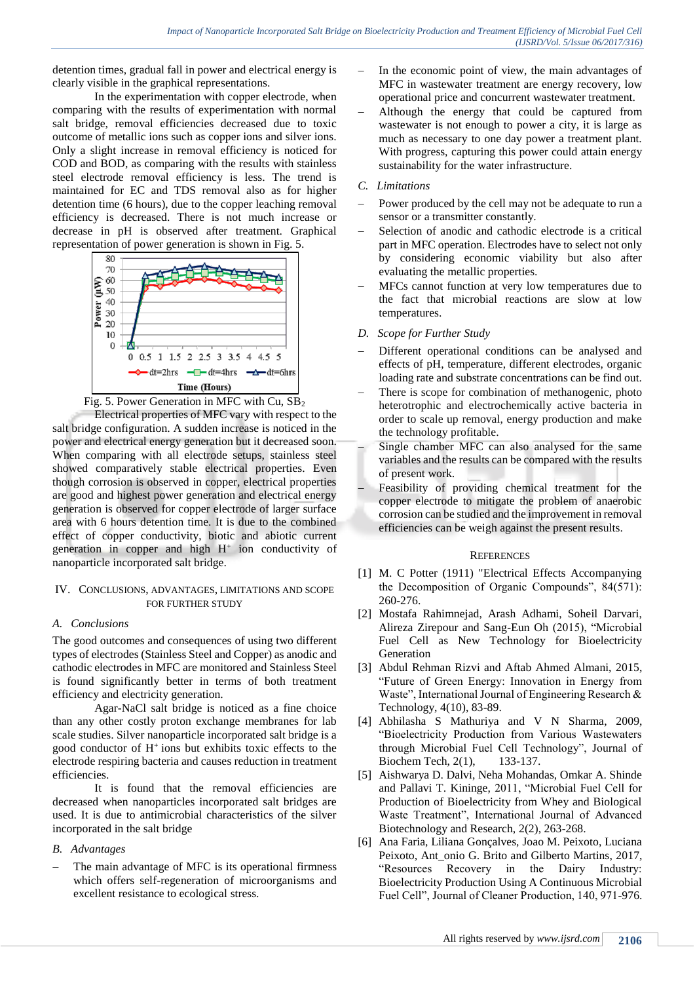detention times, gradual fall in power and electrical energy is clearly visible in the graphical representations.

In the experimentation with copper electrode, when comparing with the results of experimentation with normal salt bridge, removal efficiencies decreased due to toxic outcome of metallic ions such as copper ions and silver ions. Only a slight increase in removal efficiency is noticed for COD and BOD, as comparing with the results with stainless steel electrode removal efficiency is less. The trend is maintained for EC and TDS removal also as for higher detention time (6 hours), due to the copper leaching removal efficiency is decreased. There is not much increase or decrease in pH is observed after treatment. Graphical representation of power generation is shown in Fig. 5.



Fig. 5. Power Generation in MFC with Cu, SB<sup>2</sup>

Electrical properties of MFC vary with respect to the salt bridge configuration. A sudden increase is noticed in the power and electrical energy generation but it decreased soon. When comparing with all electrode setups, stainless steel showed comparatively stable electrical properties. Even though corrosion is observed in copper, electrical properties are good and highest power generation and electrical energy generation is observed for copper electrode of larger surface area with 6 hours detention time. It is due to the combined effect of copper conductivity, biotic and abiotic current generation in copper and high  $H^+$  ion conductivity of nanoparticle incorporated salt bridge.

#### IV. CONCLUSIONS, ADVANTAGES, LIMITATIONS AND SCOPE FOR FURTHER STUDY

## *A. Conclusions*

The good outcomes and consequences of using two different types of electrodes (Stainless Steel and Copper) as anodic and cathodic electrodes in MFC are monitored and Stainless Steel is found significantly better in terms of both treatment efficiency and electricity generation.

Agar-NaCl salt bridge is noticed as a fine choice than any other costly proton exchange membranes for lab scale studies. Silver nanoparticle incorporated salt bridge is a good conductor of  $H^+$ ions but exhibits toxic effects to the electrode respiring bacteria and causes reduction in treatment efficiencies.

It is found that the removal efficiencies are decreased when nanoparticles incorporated salt bridges are used. It is due to antimicrobial characteristics of the silver incorporated in the salt bridge

## *B. Advantages*

 The main advantage of MFC is its operational firmness which offers self-regeneration of microorganisms and excellent resistance to ecological stress.

- In the economic point of view, the main advantages of MFC in wastewater treatment are energy recovery, low operational price and concurrent wastewater treatment.
- Although the energy that could be captured from wastewater is not enough to power a city, it is large as much as necessary to one day power a treatment plant. With progress, capturing this power could attain energy sustainability for the water infrastructure.

#### *C. Limitations*

- Power produced by the cell may not be adequate to run a sensor or a transmitter constantly.
- Selection of anodic and cathodic electrode is a critical part in MFC operation. Electrodes have to select not only by considering economic viability but also after evaluating the metallic properties.
- MFCs cannot function at very low temperatures due to the fact that microbial reactions are slow at low temperatures.
- *D. Scope for Further Study*
- Different operational conditions can be analysed and effects of pH, temperature, different electrodes, organic loading rate and substrate concentrations can be find out.
- There is scope for combination of methanogenic, photo heterotrophic and electrochemically active bacteria in order to scale up removal, energy production and make the technology profitable.
- Single chamber MFC can also analysed for the same variables and the results can be compared with the results of present work.
- Feasibility of providing chemical treatment for the copper electrode to mitigate the problem of anaerobic corrosion can be studied and the improvement in removal efficiencies can be weigh against the present results.

#### **REFERENCES**

- [1] M. C Potter (1911) "Electrical Effects Accompanying the Decomposition of Organic Compounds", 84(571): 260-276.
- [2] Mostafa Rahimnejad, Arash Adhami, Soheil Darvari, Alireza Zirepour and Sang-Eun Oh (2015), "Microbial Fuel Cell as New Technology for Bioelectricity Generation
- [3] Abdul Rehman Rizvi and Aftab Ahmed Almani, 2015, "Future of Green Energy: Innovation in Energy from Waste", International Journal of Engineering Research & Technology, 4(10), 83-89.
- [4] Abhilasha S Mathuriya and V N Sharma, 2009, "Bioelectricity Production from Various Wastewaters through Microbial Fuel Cell Technology", Journal of Biochem Tech, 2(1), 133-137.
- [5] Aishwarya D. Dalvi, Neha Mohandas, Omkar A. Shinde and Pallavi T. Kininge, 2011, "Microbial Fuel Cell for Production of Bioelectricity from Whey and Biological Waste Treatment", International Journal of Advanced Biotechnology and Research, 2(2), 263-268.
- [6] Ana Faria, Liliana Gonçalves, Joao M. Peixoto, Luciana Peixoto, Ant onio G. Brito and Gilberto Martins, 2017, "Resources Recovery in the Dairy Industry: Bioelectricity Production Using A Continuous Microbial Fuel Cell", Journal of Cleaner Production, 140, 971-976.